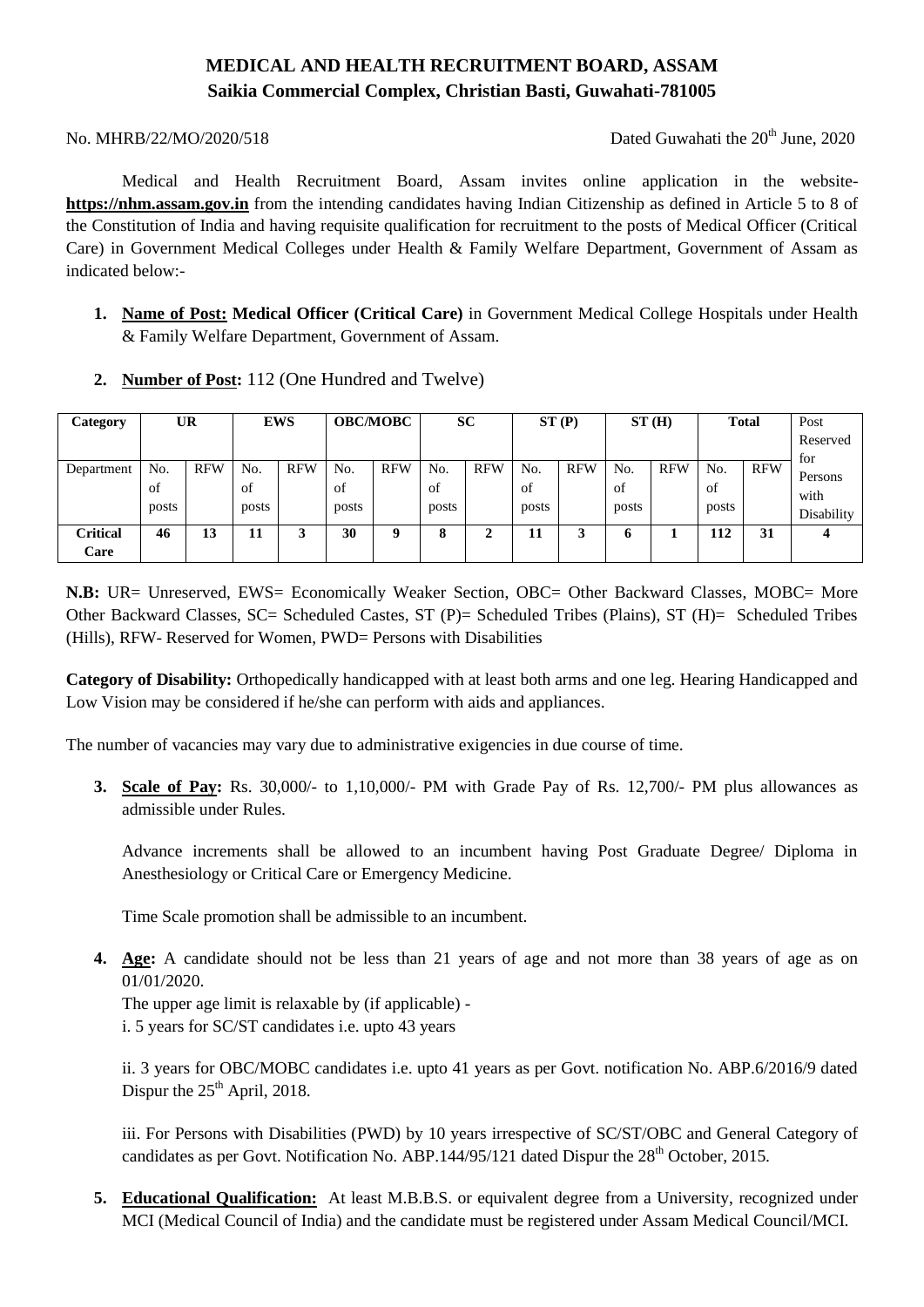# **MEDICAL AND HEALTH RECRUITMENT BOARD, ASSAM Saikia Commercial Complex, Christian Basti, Guwahati-781005**

No. MHRB/22/MO/2020/518 Dated Guwahati the 20<sup>th</sup> June, 2020

Medical and Health Recruitment Board, Assam invites online application in the website**https://nhm.assam.gov.in** from the intending candidates having Indian Citizenship as defined in Article 5 to 8 of the Constitution of India and having requisite qualification for recruitment to the posts of Medical Officer (Critical Care) in Government Medical Colleges under Health & Family Welfare Department, Government of Assam as indicated below:-

- **1. Name of Post: Medical Officer (Critical Care)** in Government Medical College Hospitals under Health & Family Welfare Department, Government of Assam.
- **2. Number of Post:** 112 (One Hundred and Twelve)

| Category        | UR    |            | <b>EWS</b> |            | <b>OBC/MOBC</b> |            | <b>SC</b>    |            | ST(P) |            | ST(H) |            | <b>Total</b> |            | Post       |
|-----------------|-------|------------|------------|------------|-----------------|------------|--------------|------------|-------|------------|-------|------------|--------------|------------|------------|
|                 |       |            |            |            |                 |            |              |            |       |            |       |            |              |            | Reserved   |
|                 |       |            |            |            |                 |            |              |            |       |            |       |            |              |            | for        |
| Department      | No.   | <b>RFW</b> | No.        | <b>RFW</b> | No.             | <b>RFW</b> | No.          | <b>RFW</b> | No.   | <b>RFW</b> | No.   | <b>RFW</b> | No.          | <b>RFW</b> |            |
|                 | of    |            | of         |            | of              |            | οt           |            | of    |            | οt    |            | of           |            | Persons    |
|                 |       |            |            |            |                 |            |              |            |       |            |       |            |              |            | with       |
|                 | posts |            | posts      |            | posts           |            | posts        |            | posts |            | posts |            | posts        |            | Disability |
|                 |       |            |            | 2          | 30              | Q          | $\mathbf{o}$ | ◠          |       |            |       |            | 112          |            |            |
| <b>Critical</b> | 46    | 13         | 11         | Ä.         |                 |            | O            | ↵          | 11    | 3          | 6     |            |              | 31         |            |
| Care            |       |            |            |            |                 |            |              |            |       |            |       |            |              |            |            |

**N.B:** UR= Unreserved, EWS= Economically Weaker Section, OBC= Other Backward Classes, MOBC= More Other Backward Classes, SC= Scheduled Castes, ST (P)= Scheduled Tribes (Plains), ST (H)= Scheduled Tribes (Hills), RFW- Reserved for Women, PWD= Persons with Disabilities

**Category of Disability:** Orthopedically handicapped with at least both arms and one leg. Hearing Handicapped and Low Vision may be considered if he/she can perform with aids and appliances.

The number of vacancies may vary due to administrative exigencies in due course of time.

**3. Scale of Pay:** Rs. 30,000/- to 1,10,000/- PM with Grade Pay of Rs. 12,700/- PM plus allowances as admissible under Rules.

Advance increments shall be allowed to an incumbent having Post Graduate Degree/ Diploma in Anesthesiology or Critical Care or Emergency Medicine.

Time Scale promotion shall be admissible to an incumbent.

**4. Age:** A candidate should not be less than 21 years of age and not more than 38 years of age as on 01/01/2020.

The upper age limit is relaxable by (if applicable) -

i. 5 years for SC/ST candidates i.e. upto 43 years

ii. 3 years for OBC/MOBC candidates i.e. upto 41 years as per Govt. notification No. ABP.6/2016/9 dated Dispur the  $25<sup>th</sup>$  April, 2018.

iii. For Persons with Disabilities (PWD) by 10 years irrespective of SC/ST/OBC and General Category of candidates as per Govt. Notification No. ABP.144/95/121 dated Dispur the 28<sup>th</sup> October, 2015.

**5. Educational Qualification:** At least M.B.B.S. or equivalent degree from a University, recognized under MCI (Medical Council of India) and the candidate must be registered under Assam Medical Council/MCI.